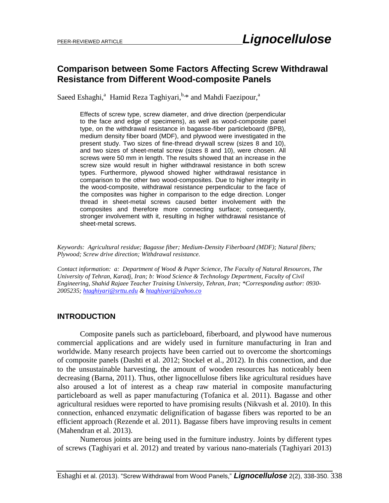## **Comparison between Some Factors Affecting Screw Withdrawal Resistance from Different Wood-composite Panels**

Saeed Eshaghi,<sup>a</sup> Hamid Reza Taghiyari, **b.\*** and Mahdi Faezipour, <sup>a</sup>

Effects of screw type, screw diameter, and drive direction (perpendicular to the face and edge of specimens), as well as wood-composite panel type, on the withdrawal resistance in bagasse-fiber particleboard (BPB), medium density fiber board (MDF), and plywood were investigated in the present study. Two sizes of fine-thread drywall screw (sizes 8 and 10), and two sizes of sheet-metal screw (sizes 8 and 10), were chosen. All screws were 50 mm in length. The results showed that an increase in the screw size would result in higher withdrawal resistance in both screw types. Furthermore, plywood showed higher withdrawal resistance in comparison to the other two wood-composites. Due to higher integrity in the wood-composite, withdrawal resistance perpendicular to the face of the composites was higher in comparison to the edge direction. Longer thread in sheet-metal screws caused better involvement with the composites and therefore more connecting surface; consequently, stronger involvement with it, resulting in higher withdrawal resistance of sheet-metal screws.

*Keywords: Agricultural residue; Bagasse fiber; Medium-Density Fiberboard (MDF); Natural fibers; Plywood; Screw drive direction; Withdrawal resistance.* 

*Contact information: a: Department of Wood & Paper Science, The Faculty of Natural Resources, The University of Tehran, Karadj, Iran; b: Wood Science & Technology Department, Faculty of Civil Engineering, Shahid Rajaee Teacher Training University, Tehran, Iran; \*Corresponding author: 0930- 2005235; [htaghiyari@srttu.edu](mailto:liujb3@ncsu.edu) & [htaghiyari@yahoo.co](mailto:htaghiyari@yahoo.co)*

#### **INTRODUCTION**

Composite panels such as particleboard, fiberboard, and plywood have numerous commercial applications and are widely used in furniture manufacturing in Iran and worldwide. Many research projects have been carried out to overcome the shortcomings of composite panels (Dashti et al. 2012; Stockel et al., 2012). In this connection, and due to the unsustainable harvesting, the amount of wooden resources has noticeably been decreasing (Barna, 2011). Thus, other lignocellulose fibers like agricultural residues have also aroused a lot of interest as a cheap raw material in composite manufacturing particleboard as well as paper manufacturing (Tofanica et al. 2011). Bagasse and other agricultural residues were reported to have promising results (Nikvash et al. 2010). In this connection, enhanced enzymatic delignification of bagasse fibers was reported to be an efficient approach (Rezende et al. 2011). Bagasse fibers have improving results in cement (Mahendran et al. 2013).

Numerous joints are being used in the furniture industry. Joints by different types of screws (Taghiyari et al. 2012) and treated by various nano-materials (Taghiyari 2013)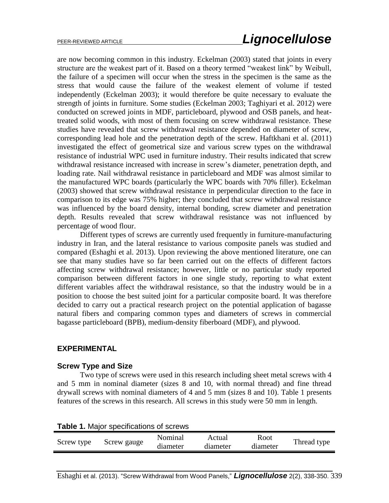are now becoming common in this industry. Eckelman (2003) stated that joints in every structure are the weakest part of it. Based on a theory termed "weakest link" by Weibull, the failure of a specimen will occur when the stress in the specimen is the same as the stress that would cause the failure of the weakest element of volume if tested independently (Eckelman 2003); it would therefore be quite necessary to evaluate the strength of joints in furniture. Some studies (Eckelman 2003; Taghiyari et al. 2012) were conducted on screwed joints in MDF, particleboard, plywood and OSB panels, and heattreated solid woods, with most of them focusing on screw withdrawal resistance. These studies have revealed that screw withdrawal resistance depended on diameter of screw, corresponding lead hole and the penetration depth of the screw. Haftkhani et al. (2011) investigated the effect of geometrical size and various screw types on the withdrawal resistance of industrial WPC used in furniture industry. Their results indicated that screw withdrawal resistance increased with increase in screw's diameter, penetration depth, and loading rate. Nail withdrawal resistance in particleboard and MDF was almost similar to the manufactured WPC boards (particularly the WPC boards with 70% filler). Eckelman (2003) showed that screw withdrawal resistance in perpendicular direction to the face in comparison to its edge was 75% higher; they concluded that screw withdrawal resistance was influenced by the board density, internal bonding, screw diameter and penetration depth. Results revealed that screw withdrawal resistance was not influenced by percentage of wood flour.

Different types of screws are currently used frequently in furniture-manufacturing industry in Iran, and the lateral resistance to various composite panels was studied and compared (Eshaghi et al. 2013). Upon reviewing the above mentioned literature, one can see that many studies have so far been carried out on the effects of different factors affecting screw withdrawal resistance; however, little or no particular study reported comparison between different factors in one single study, reporting to what extent different variables affect the withdrawal resistance, so that the industry would be in a position to choose the best suited joint for a particular composite board. It was therefore decided to carry out a practical research project on the potential application of bagasse natural fibers and comparing common types and diameters of screws in commercial bagasse particleboard (BPB), medium-density fiberboard (MDF), and plywood.

## **EXPERIMENTAL**

#### **Screw Type and Size**

Two type of screws were used in this research including sheet metal screws with 4 and 5 mm in nominal diameter (sizes 8 and 10, with normal thread) and fine thread drywall screws with nominal diameters of 4 and 5 mm (sizes 8 and 10). Table 1 presents features of the screws in this research. All screws in this study were 50 mm in length.

| <b>Table 1.</b> Major specifications of screws |             |                     |                    |                  |             |  |  |
|------------------------------------------------|-------------|---------------------|--------------------|------------------|-------------|--|--|
| Screw type                                     | Screw gauge | Nominal<br>diameter | Actual<br>diameter | Root<br>diameter | Thread type |  |  |

|  |  | Table 1. Major specifications of screws |  |  |
|--|--|-----------------------------------------|--|--|
|--|--|-----------------------------------------|--|--|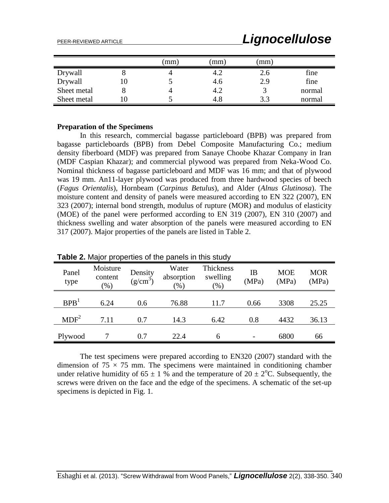|             |    | mm) | mm) | mm) |        |
|-------------|----|-----|-----|-----|--------|
| Drywall     | O  |     | 4.2 | 2.6 | fine   |
| Drywall     | 10 |     | 4.6 | 2.9 | fine   |
| Sheet metal |    |     | 4.2 |     | normal |
| Sheet metal | 10 |     | 4.8 | 3.3 | normal |

#### **Preparation of the Specimens**

In this research, commercial bagasse particleboard (BPB) was prepared from bagasse particleboards (BPB) from Debel Composite Manufacturing Co.; medium density fiberboard (MDF) was prepared from Sanaye Choobe Khazar Company in Iran (MDF Caspian Khazar); and commercial plywood was prepared from Neka-Wood Co. Nominal thickness of bagasse particleboard and MDF was 16 mm; and that of plywood was 19 mm. An11-layer plywood was produced from three hardwood species of beech (*Fagus Orientalis*), Hornbeam (*Carpinus Betulus*), and Alder (*Alnus Glutinosa*). The moisture content and density of panels were measured according to EN 322 (2007), EN 323 (2007); internal bond strength, modulus of rupture (MOR) and modulus of elasticity (MOE) of the panel were performed according to EN 319 (2007), EN 310 (2007) and thickness swelling and water absorption of the panels were measured according to EN 317 (2007). Major properties of the panels are listed in Table 2.

| <b>Table 2.</b> Major properties of the panels in this study |                               |                       |                               |                                 |             |                     |                     |  |
|--------------------------------------------------------------|-------------------------------|-----------------------|-------------------------------|---------------------------------|-------------|---------------------|---------------------|--|
| Panel<br>type                                                | Moisture<br>content<br>$(\%)$ | Density<br>$(g/cm^3)$ | Water<br>absorption<br>$(\%)$ | Thickness<br>swelling<br>$(\%)$ | ΙB<br>(MPa) | <b>MOE</b><br>(MPa) | <b>MOR</b><br>(MPa) |  |
| BPB <sup>1</sup>                                             | 6.24                          | 0.6                   | 76.88                         | 11.7                            | 0.66        | 3308                | 25.25               |  |
| MDF <sup>2</sup>                                             | 7.11                          | 0.7                   | 14.3                          | 6.42                            | 0.8         | 4432                | 36.13               |  |
| Plywood                                                      |                               | 0.7                   | 22.4                          | 6                               |             | 6800                | 66                  |  |

**Table 2.** Major properties of the panels in this study

The test specimens were prepared according to EN320 (2007) standard with the dimension of  $75 \times 75$  mm. The specimens were maintained in conditioning chamber under relative humidity of 65  $\pm$  1 % and the temperature of 20  $\pm$  2<sup>o</sup>C. Subsequently, the screws were driven on the face and the edge of the specimens. A schematic of the set-up specimens is depicted in Fig. 1.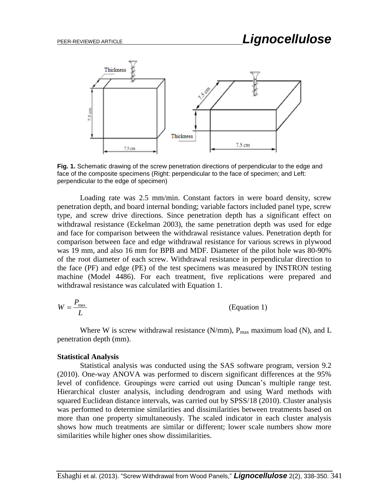

**Fig. 1.** Schematic drawing of the screw penetration directions of perpendicular to the edge and face of the composite specimens (Right: perpendicular to the face of specimen; and Left: perpendicular to the edge of specimen)

Loading rate was 2.5 mm/min. Constant factors in were board density, screw penetration depth, and board internal bonding; variable factors included panel type, screw type, and screw drive directions. Since penetration depth has a significant effect on withdrawal resistance (Eckelman 2003), the same penetration depth was used for edge and face for comparison between the withdrawal resistance values. Penetration depth for comparison between face and edge withdrawal resistance for various screws in plywood was 19 mm, and also 16 mm for BPB and MDF. Diameter of the pilot hole was 80-90% of the root diameter of each screw. Withdrawal resistance in perpendicular direction to the face (PF) and edge (PE) of the test specimens was measured by INSTRON testing machine (Model 4486). For each treatment, five replications were prepared and withdrawal resistance was calculated with Equation 1.

$$
W = \frac{P_{\text{max}}}{L}
$$
 (Equation 1)

Where W is screw withdrawal resistance (N/mm),  $P_{max}$  maximum load (N), and L penetration depth (mm).

#### **Statistical Analysis**

Statistical analysis was conducted using the SAS software program, version 9.2 (2010). One-way ANOVA was performed to discern significant differences at the 95% level of confidence. Groupings were carried out using Duncan's multiple range test. Hierarchical cluster analysis, including dendrogram and using Ward methods with squared Euclidean distance intervals, was carried out by SPSS/18 (2010). Cluster analysis was performed to determine similarities and dissimilarities between treatments based on more than one property simultaneously. The scaled indicator in each cluster analysis shows how much treatments are similar or different; lower scale numbers show more similarities while higher ones show dissimilarities.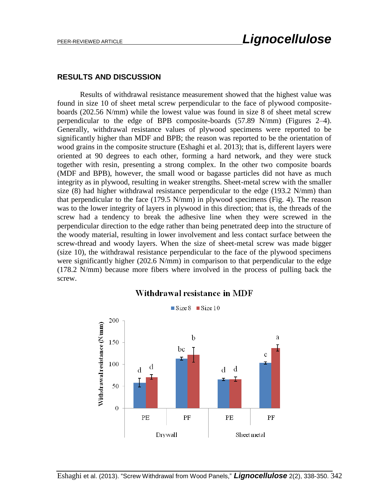#### **RESULTS AND DISCUSSION**

Results of withdrawal resistance measurement showed that the highest value was found in size 10 of sheet metal screw perpendicular to the face of plywood compositeboards (202.56 N/mm) while the lowest value was found in size 8 of sheet metal screw perpendicular to the edge of BPB composite-boards (57.89 N/mm) (Figures 2–4). Generally, withdrawal resistance values of plywood specimens were reported to be significantly higher than MDF and BPB; the reason was reported to be the orientation of wood grains in the composite structure (Eshaghi et al. 2013); that is, different layers were oriented at 90 degrees to each other, forming a hard network, and they were stuck together with resin, presenting a strong complex. In the other two composite boards (MDF and BPB), however, the small wood or bagasse particles did not have as much integrity as in plywood, resulting in weaker strengths. Sheet-metal screw with the smaller size  $(8)$  had higher withdrawal resistance perpendicular to the edge  $(193.2 \text{ N/mm})$  than that perpendicular to the face (179.5 N/mm) in plywood specimens (Fig. 4). The reason was to the lower integrity of layers in plywood in this direction; that is, the threads of the screw had a tendency to break the adhesive line when they were screwed in the perpendicular direction to the edge rather than being penetrated deep into the structure of the woody material, resulting in lower involvement and less contact surface between the screw-thread and woody layers. When the size of sheet-metal screw was made bigger (size 10), the withdrawal resistance perpendicular to the face of the plywood specimens were significantly higher (202.6 N/mm) in comparison to that perpendicular to the edge (178.2 N/mm) because more fibers where involved in the process of pulling back the screw.



## Withdrawal resistance in MDF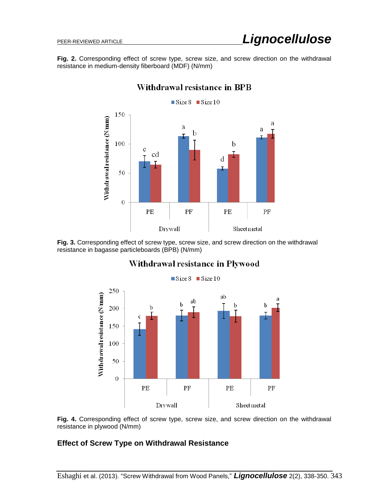**Fig. 2.** Corresponding effect of screw type, screw size, and screw direction on the withdrawal resistance in medium-density fiberboard (MDF) (N/mm)



## Withdrawal resistance in BPB

**Fig. 3.** Corresponding effect of screw type, screw size, and screw direction on the withdrawal resistance in bagasse particleboards (BPB) (N/mm)



## Withdrawal resistance in Plywood

**Fig. 4.** Corresponding effect of screw type, screw size, and screw direction on the withdrawal resistance in plywood (N/mm)

#### **Effect of Screw Type on Withdrawal Resistance**

Eshaghi et al. (2013). "Screw Withdrawal from Wood Panels," *Lignocellulose* 2(2), 338-350. 343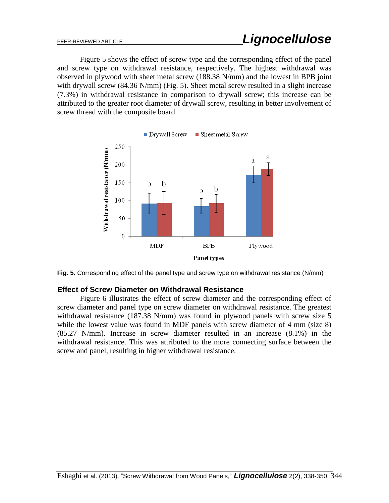Figure 5 shows the effect of screw type and the corresponding effect of the panel and screw type on withdrawal resistance, respectively. The highest withdrawal was observed in plywood with sheet metal screw (188.38 N/mm) and the lowest in BPB joint with drywall screw (84.36 N/mm) (Fig. 5). Sheet metal screw resulted in a slight increase (7.3%) in withdrawal resistance in comparison to drywall screw; this increase can be attributed to the greater root diameter of drywall screw, resulting in better involvement of screw thread with the composite board.





#### **Effect of Screw Diameter on Withdrawal Resistance**

Figure 6 illustrates the effect of screw diameter and the corresponding effect of screw diameter and panel type on screw diameter on withdrawal resistance. The greatest withdrawal resistance (187.38 N/mm) was found in plywood panels with screw size 5 while the lowest value was found in MDF panels with screw diameter of 4 mm (size 8) (85.27 N/mm). Increase in screw diameter resulted in an increase (8.1%) in the withdrawal resistance. This was attributed to the more connecting surface between the screw and panel, resulting in higher withdrawal resistance.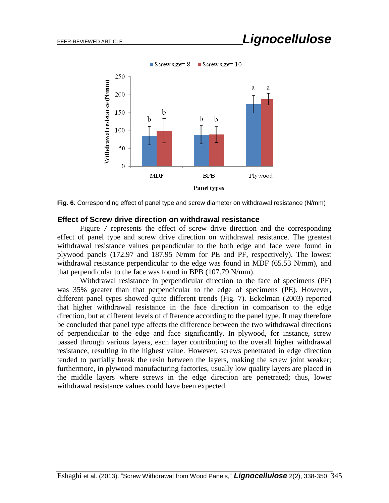

**Fig. 6.** Corresponding effect of panel type and screw diameter on withdrawal resistance (N/mm)

#### **Effect of Screw drive direction on withdrawal resistance**

Figure 7 represents the effect of screw drive direction and the corresponding effect of panel type and screw drive direction on withdrawal resistance. The greatest withdrawal resistance values perpendicular to the both edge and face were found in plywood panels (172.97 and 187.95 N/mm for PE and PF, respectively). The lowest withdrawal resistance perpendicular to the edge was found in MDF (65.53 N/mm), and that perpendicular to the face was found in BPB (107.79 N/mm).

Withdrawal resistance in perpendicular direction to the face of specimens (PF) was 35% greater than that perpendicular to the edge of specimens (PE). However, different panel types showed quite different trends (Fig. 7). Eckelman (2003) reported that higher withdrawal resistance in the face direction in comparison to the edge direction, but at different levels of difference according to the panel type. It may therefore be concluded that panel type affects the difference between the two withdrawal directions of perpendicular to the edge and face significantly. In plywood, for instance, screw passed through various layers, each layer contributing to the overall higher withdrawal resistance, resulting in the highest value. However, screws penetrated in edge direction tended to partially break the resin between the layers, making the screw joint weaker; furthermore, in plywood manufacturing factories, usually low quality layers are placed in the middle layers where screws in the edge direction are penetrated; thus, lower withdrawal resistance values could have been expected.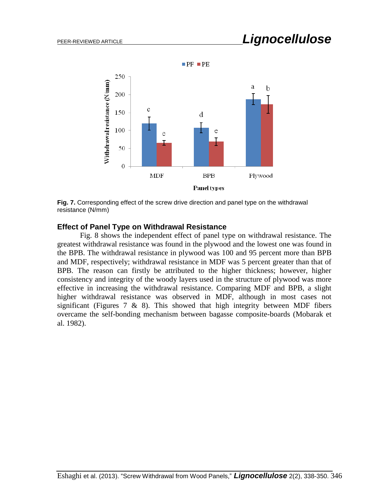

**Fig. 7.** Corresponding effect of the screw drive direction and panel type on the withdrawal resistance (N/mm)

#### **Effect of Panel Type on Withdrawal Resistance**

Fig. 8 shows the independent effect of panel type on withdrawal resistance. The greatest withdrawal resistance was found in the plywood and the lowest one was found in the BPB. The withdrawal resistance in plywood was 100 and 95 percent more than BPB and MDF, respectively; withdrawal resistance in MDF was 5 percent greater than that of BPB. The reason can firstly be attributed to the higher thickness; however, higher consistency and integrity of the woody layers used in the structure of plywood was more effective in increasing the withdrawal resistance. Comparing MDF and BPB, a slight higher withdrawal resistance was observed in MDF, although in most cases not significant (Figures  $7 \& 8$ ). This showed that high integrity between MDF fibers overcame the self-bonding mechanism between bagasse composite-boards (Mobarak et al. 1982).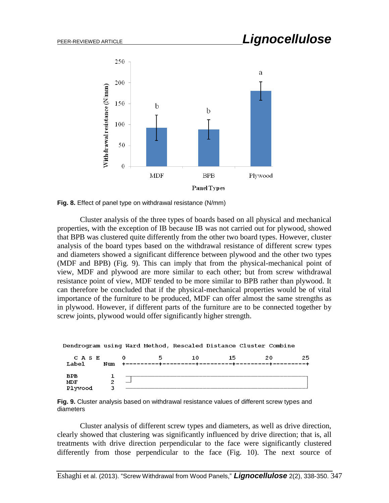

**Fig. 8.** Effect of panel type on withdrawal resistance (N/mm)

Cluster analysis of the three types of boards based on all physical and mechanical properties, with the exception of IB because IB was not carried out for plywood, showed that BPB was clustered quite differently from the other two board types. However, cluster analysis of the board types based on the withdrawal resistance of different screw types and diameters showed a significant difference between plywood and the other two types (MDF and BPB) (Fig. 9). This can imply that from the physical-mechanical point of view, MDF and plywood are more similar to each other; but from screw withdrawal resistance point of view, MDF tended to be more similar to BPB rather than plywood. It can therefore be concluded that if the physical-mechanical properties would be of vital importance of the furniture to be produced, MDF can offer almost the same strengths as in plywood. However, if different parts of the furniture are to be connected together by screw joints, plywood would offer significantly higher strength.

| Dendrogram using Ward Method, Rescaled Distance Cluster Combine |     |   |    |    |    |    |
|-----------------------------------------------------------------|-----|---|----|----|----|----|
| C A S E<br>Label                                                | Num | 5 | 10 | 15 | 20 | 25 |
| <b>BPB</b><br>MDF<br>Plywood                                    |     |   |    |    |    |    |

**Fig. 9.** Cluster analysis based on withdrawal resistance values of different screw types and diameters

Cluster analysis of different screw types and diameters, as well as drive direction, clearly showed that clustering was significantly influenced by drive direction; that is, all treatments with drive direction perpendicular to the face were significantly clustered differently from those perpendicular to the face (Fig. 10). The next source of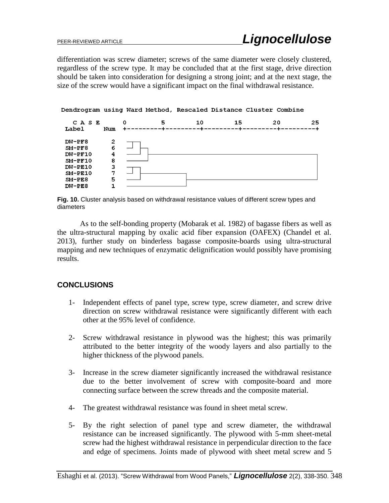differentiation was screw diameter; screws of the same diameter were closely clustered, regardless of the screw type. It may be concluded that at the first stage, drive direction should be taken into consideration for designing a strong joint; and at the next stage, the size of the screw would have a significant impact on the final withdrawal resistance.

#### Dendrogram using Ward Method, Rescaled Distance Cluster Combine



**Fig. 10.** Cluster analysis based on withdrawal resistance values of different screw types and diameters

As to the self-bonding property (Mobarak et al. 1982) of bagasse fibers as well as the ultra-structural mapping by oxalic acid fiber expansion (OAFEX) (Chandel et al. 2013), further study on binderless bagasse composite-boards using ultra-structural mapping and new techniques of enzymatic delignification would possibly have promising results.

## **CONCLUSIONS**

- 1- Independent effects of panel type, screw type, screw diameter, and screw drive direction on screw withdrawal resistance were significantly different with each other at the 95% level of confidence.
- 2- Screw withdrawal resistance in plywood was the highest; this was primarily attributed to the better integrity of the woody layers and also partially to the higher thickness of the plywood panels.
- 3- Increase in the screw diameter significantly increased the withdrawal resistance due to the better involvement of screw with composite-board and more connecting surface between the screw threads and the composite material.
- 4- The greatest withdrawal resistance was found in sheet metal screw.
- 5- By the right selection of panel type and screw diameter, the withdrawal resistance can be increased significantly. The plywood with 5-mm sheet-metal screw had the highest withdrawal resistance in perpendicular direction to the face and edge of specimens. Joints made of plywood with sheet metal screw and 5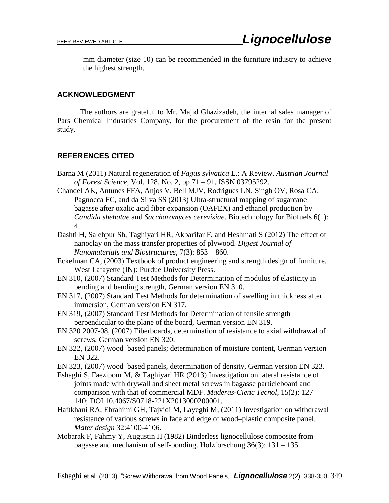mm diameter (size 10) can be recommended in the furniture industry to achieve the highest strength.

## **ACKNOWLEDGMENT**

The authors are grateful to Mr. Majid Ghazizadeh, the internal sales manager of Pars Chemical Industries Company, for the procurement of the resin for the present study.

## **REFERENCES CITED**

- Barna M (2011) Natural regeneration of *Fagus sylvatica* L.: A Review. *Austrian Journal of Forest Science*, Vol. 128, No. 2, pp 71 – 91, ISSN 03795292.
- Chandel AK, Antunes FFA, Anjos V, Bell MJV, Rodrigues LN, Singh OV, Rosa CA, Pagnocca FC, and da Silva SS (2013) Ultra-structural mapping of sugarcane bagasse after oxalic acid fiber expansion (OAFEX) and ethanol production by *Candida shehatae* and *Saccharomyces cerevisiae*. Biotechnology for Biofuels 6(1): 4.
- Dashti H, Salehpur Sh, Taghiyari HR, Akbarifar F, and Heshmati S (2012) The effect of nanoclay on the mass transfer properties of plywood. *Digest Journal of Nanomaterials and Biostructures*, 7(3): 853 – 860.
- Eckelman CA, (2003) Textbook of product engineering and strength design of furniture. West Lafayette (IN): Purdue University Press.
- EN 310, (2007) Standard Test Methods for Determination of modulus of elasticity in bending and bending strength, German version EN 310.
- EN 317, (2007) Standard Test Methods for determination of swelling in thickness after immersion, German version EN 317.
- EN 319, (2007) Standard Test Methods for Determination of tensile strength perpendicular to the plane of the board, German version EN 319.
- EN 320 2007-08, (2007) Fiberboards, determination of resistance to axial withdrawal of screws, German version EN 320.
- EN 322, (2007) wood–based panels; determination of moisture content, German version EN 322.
- EN 323, (2007) wood–based panels, determination of density, German version EN 323.
- Eshaghi S, Faezipour M, & Taghiyari HR (2013) Investigation on lateral resistance of joints made with drywall and sheet metal screws in bagasse particleboard and comparison with that of commercial MDF. *Maderas-Cienc Tecnol*, 15(2): 127 – 140; DOI 10.4067/S0718-221X2013000200001.
- Haftkhani RA, Ebrahimi GH, Tajvidi M, Layeghi M, (2011) Investigation on withdrawal resistance of various screws in face and edge of wood–plastic composite panel. *Mater design* 32:4100-4106.
- Mobarak F, Fahmy Y, Augustin H (1982) Binderless lignocellulose composite from bagasse and mechanism of self-bonding. Holzforschung 36(3): 131 – 135.